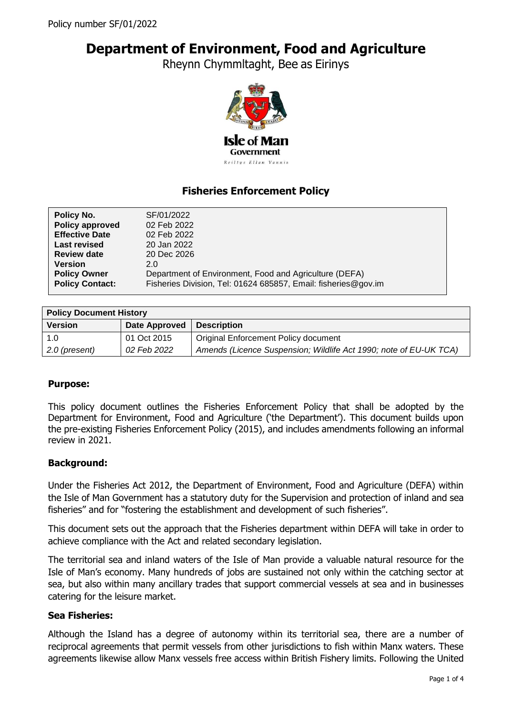# **Department of Environment, Food and Agriculture**

Rheynn Chymmltaght, Bee as Eirinys



# **Fisheries Enforcement Policy**

| Policy No.             | SF/01/2022                                                     |  |
|------------------------|----------------------------------------------------------------|--|
| Policy approved        | 02 Feb 2022                                                    |  |
| <b>Effective Date</b>  | 02 Feb 2022                                                    |  |
| <b>Last revised</b>    | 20 Jan 2022                                                    |  |
| <b>Review date</b>     | 20 Dec 2026                                                    |  |
| <b>Version</b>         | 2.0                                                            |  |
| <b>Policy Owner</b>    | Department of Environment, Food and Agriculture (DEFA)         |  |
| <b>Policy Contact:</b> | Fisheries Division, Tel: 01624 685857, Email: fisheries@gov.im |  |
|                        |                                                                |  |

| <b>Policy Document History</b> |                      |                                                                   |  |
|--------------------------------|----------------------|-------------------------------------------------------------------|--|
| <b>Version</b>                 | <b>Date Approved</b> | <b>Description</b>                                                |  |
| 1.0                            | 01 Oct 2015          | <b>Original Enforcement Policy document</b>                       |  |
| 2.0 (present)                  | 02 Feb 2022          | Amends (Licence Suspension; Wildlife Act 1990; note of EU-UK TCA) |  |

# **Purpose:**

This policy document outlines the Fisheries Enforcement Policy that shall be adopted by the Department for Environment, Food and Agriculture ('the Department'). This document builds upon the pre-existing Fisheries Enforcement Policy (2015), and includes amendments following an informal review in 2021.

#### **Background:**

Under the Fisheries Act 2012, the Department of Environment, Food and Agriculture (DEFA) within the Isle of Man Government has a statutory duty for the Supervision and protection of inland and sea fisheries" and for "fostering the establishment and development of such fisheries".

This document sets out the approach that the Fisheries department within DEFA will take in order to achieve compliance with the Act and related secondary legislation.

The territorial sea and inland waters of the Isle of Man provide a valuable natural resource for the Isle of Man's economy. Many hundreds of jobs are sustained not only within the catching sector at sea, but also within many ancillary trades that support commercial vessels at sea and in businesses catering for the leisure market.

#### **Sea Fisheries:**

Although the Island has a degree of autonomy within its territorial sea, there are a number of reciprocal agreements that permit vessels from other jurisdictions to fish within Manx waters. These agreements likewise allow Manx vessels free access within British Fishery limits. Following the United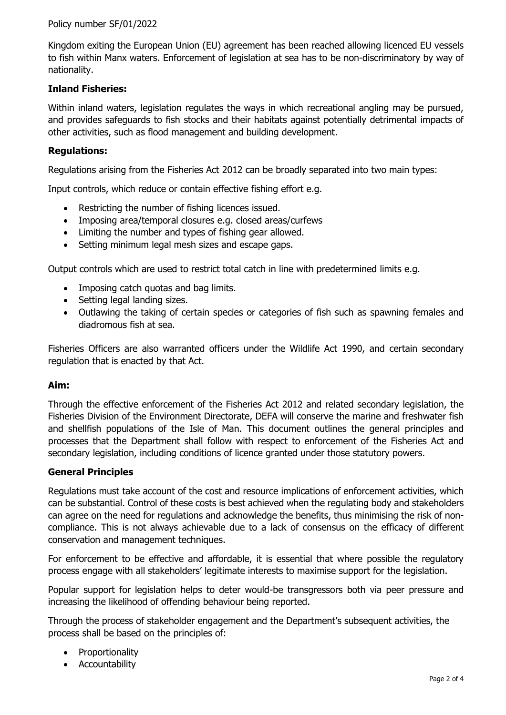### Policy number SF/01/2022

Kingdom exiting the European Union (EU) agreement has been reached allowing licenced EU vessels to fish within Manx waters. Enforcement of legislation at sea has to be non-discriminatory by way of nationality.

### **Inland Fisheries:**

Within inland waters, legislation regulates the ways in which recreational angling may be pursued, and provides safeguards to fish stocks and their habitats against potentially detrimental impacts of other activities, such as flood management and building development.

#### **Regulations:**

Regulations arising from the Fisheries Act 2012 can be broadly separated into two main types:

Input controls, which reduce or contain effective fishing effort e.g.

- Restricting the number of fishing licences issued.
- Imposing area/temporal closures e.g. closed areas/curfews
- Limiting the number and types of fishing gear allowed.
- Setting minimum legal mesh sizes and escape gaps.

Output controls which are used to restrict total catch in line with predetermined limits e.g.

- Imposing catch quotas and bag limits.
- Setting legal landing sizes.
- Outlawing the taking of certain species or categories of fish such as spawning females and diadromous fish at sea.

Fisheries Officers are also warranted officers under the Wildlife Act 1990, and certain secondary regulation that is enacted by that Act.

#### **Aim:**

Through the effective enforcement of the Fisheries Act 2012 and related secondary legislation, the Fisheries Division of the Environment Directorate, DEFA will conserve the marine and freshwater fish and shellfish populations of the Isle of Man. This document outlines the general principles and processes that the Department shall follow with respect to enforcement of the Fisheries Act and secondary legislation, including conditions of licence granted under those statutory powers.

#### **General Principles**

Regulations must take account of the cost and resource implications of enforcement activities, which can be substantial. Control of these costs is best achieved when the regulating body and stakeholders can agree on the need for regulations and acknowledge the benefits, thus minimising the risk of noncompliance. This is not always achievable due to a lack of consensus on the efficacy of different conservation and management techniques.

For enforcement to be effective and affordable, it is essential that where possible the regulatory process engage with all stakeholders' legitimate interests to maximise support for the legislation.

Popular support for legislation helps to deter would-be transgressors both via peer pressure and increasing the likelihood of offending behaviour being reported.

Through the process of stakeholder engagement and the Department's subsequent activities, the process shall be based on the principles of:

- Proportionality
- Accountability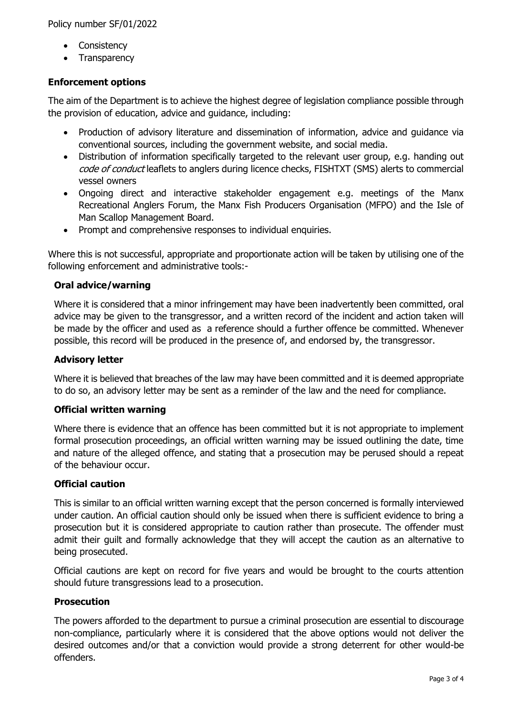- Consistency
- Transparency

# **Enforcement options**

The aim of the Department is to achieve the highest degree of legislation compliance possible through the provision of education, advice and guidance, including:

- Production of advisory literature and dissemination of information, advice and guidance via conventional sources, including the government website, and social media.
- Distribution of information specifically targeted to the relevant user group, e.g. handing out code of conduct leaflets to anglers during licence checks, FISHTXT (SMS) alerts to commercial vessel owners
- Ongoing direct and interactive stakeholder engagement e.g. meetings of the Manx Recreational Anglers Forum, the Manx Fish Producers Organisation (MFPO) and the Isle of Man Scallop Management Board.
- Prompt and comprehensive responses to individual enquiries.

Where this is not successful, appropriate and proportionate action will be taken by utilising one of the following enforcement and administrative tools:-

# **Oral advice/warning**

Where it is considered that a minor infringement may have been inadvertently been committed, oral advice may be given to the transgressor, and a written record of the incident and action taken will be made by the officer and used as a reference should a further offence be committed. Whenever possible, this record will be produced in the presence of, and endorsed by, the transgressor.

# **Advisory letter**

Where it is believed that breaches of the law may have been committed and it is deemed appropriate to do so, an advisory letter may be sent as a reminder of the law and the need for compliance.

# **Official written warning**

Where there is evidence that an offence has been committed but it is not appropriate to implement formal prosecution proceedings, an official written warning may be issued outlining the date, time and nature of the alleged offence, and stating that a prosecution may be perused should a repeat of the behaviour occur.

# **Official caution**

This is similar to an official written warning except that the person concerned is formally interviewed under caution. An official caution should only be issued when there is sufficient evidence to bring a prosecution but it is considered appropriate to caution rather than prosecute. The offender must admit their guilt and formally acknowledge that they will accept the caution as an alternative to being prosecuted.

Official cautions are kept on record for five years and would be brought to the courts attention should future transgressions lead to a prosecution.

# **Prosecution**

The powers afforded to the department to pursue a criminal prosecution are essential to discourage non-compliance, particularly where it is considered that the above options would not deliver the desired outcomes and/or that a conviction would provide a strong deterrent for other would-be offenders.